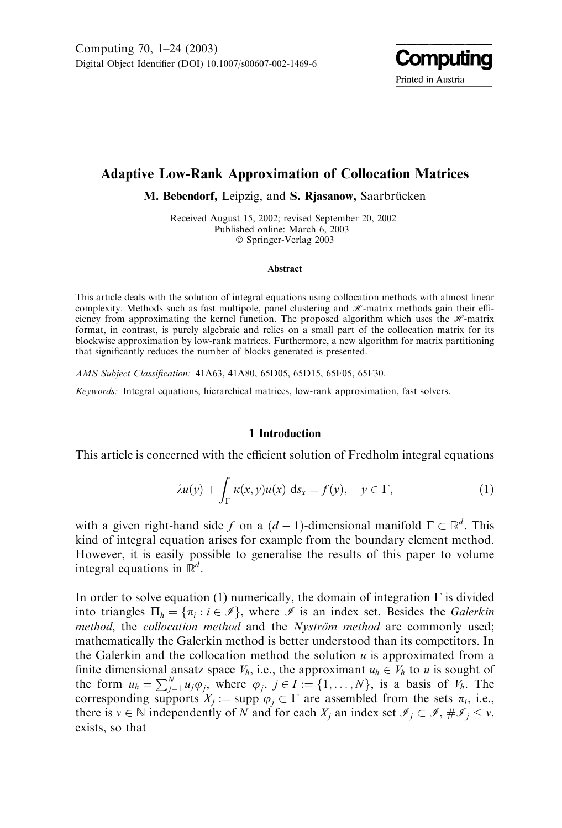

# Adaptive Low-Rank Approximation of Collocation Matrices

M. Bebendorf, Leipzig, and S. Rjasanow, Saarbrücken

Received August 15, 2002; revised September 20, 2002 Published online: March 6, 2003 Springer-Verlag 2003

#### Abstract

This article deals with the solution of integral equations using collocation methods with almost linear complexity. Methods such as fast multipole, panel clustering and  $\mathcal{H}$ -matrix methods gain their efficiency from approximating the kernel function. The proposed algorithm which uses the  $\mathcal{H}$ -matrix format, in contrast, is purely algebraic and relies on a small part of the collocation matrix for its blockwise approximation by low-rank matrices. Furthermore, a new algorithm for matrix partitioning that significantly reduces the number of blocks generated is presented.

AMS Subject Classification: 41A63, 41A80, 65D05, 65D15, 65F05, 65F30.

Keywords: Integral equations, hierarchical matrices, low-rank approximation, fast solvers.

### 1 Introduction

This article is concerned with the efficient solution of Fredholm integral equations

$$
\lambda u(y) + \int_{\Gamma} \kappa(x, y) u(x) \, \mathrm{d} s_x = f(y), \quad y \in \Gamma, \tag{1}
$$

with a given right-hand side f on a  $(d-1)$ -dimensional manifold  $\Gamma \subset \mathbb{R}^d$ . This kind of integral equation arises for example from the boundary element method. However, it is easily possible to generalise the results of this paper to volume integral equations in  $\mathbb{R}^d$ .

In order to solve equation (1) numerically, the domain of integration  $\Gamma$  is divided into triangles  $\Pi_h = \{\pi_i : i \in \mathcal{I}\}\$ , where  $\mathcal{I}$  is an index set. Besides the Galerkin method, the collocation method and the Nyström method are commonly used; mathematically the Galerkin method is better understood than its competitors. In the Galerkin and the collocation method the solution  $u$  is approximated from a finite dimensional ansatz space  $V_h$ , i.e., the approximant  $u_h \in V_h$  to u is sought of the form  $u_h = \sum_{j=1}^{N} u_j \varphi_j$ , where  $\varphi_j$ ,  $j \in I := \{1, \ldots, N\}$ , is a basis of  $V_h$ . The corresponding supports  $X_j := \text{supp } \varphi_j \subset \Gamma$  are assembled from the sets  $\pi_i$ , i.e., there is  $v \in \mathbb{N}$  independently of N and for each  $X_j$  an index set  $\mathscr{I}_j \subset \mathscr{I}, \#\mathscr{I}_j \le v$ , exists, so that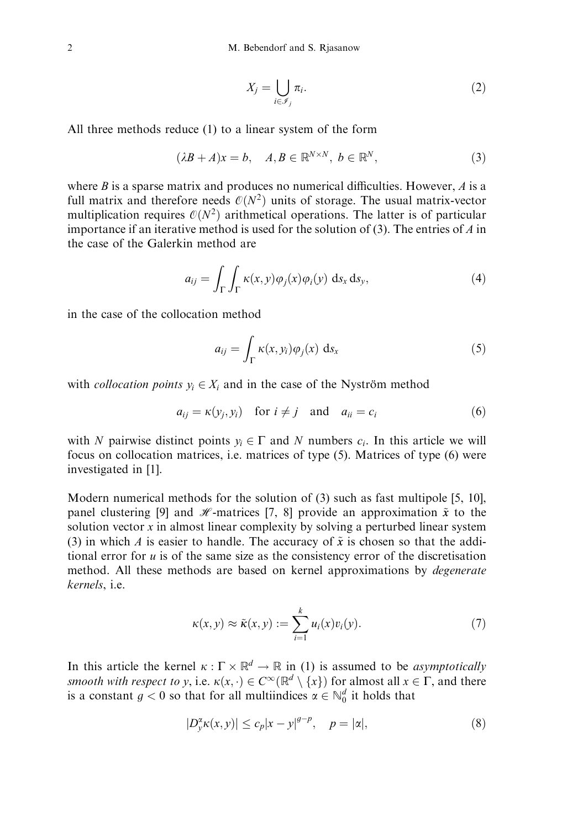$$
X_j = \bigcup_{i \in \mathcal{I}_j} \pi_i. \tag{2}
$$

All three methods reduce (1) to a linear system of the form

$$
(\lambda B + A)x = b, \quad A, B \in \mathbb{R}^{N \times N}, \ b \in \mathbb{R}^N,
$$
\n<sup>(3)</sup>

where B is a sparse matrix and produces no numerical difficulties. However,  $\Lambda$  is a full matrix and therefore needs  $\mathcal{O}(N^2)$  units of storage. The usual matrix-vector multiplication requires  $\mathcal{O}(N^2)$  arithmetical operations. The latter is of particular importance if an iterative method is used for the solution of  $(3)$ . The entries of A in the case of the Galerkin method are

$$
a_{ij} = \int_{\Gamma} \int_{\Gamma} \kappa(x, y) \varphi_j(x) \varphi_i(y) \, \mathrm{d} s_x \, \mathrm{d} s_y,\tag{4}
$$

in the case of the collocation method

$$
a_{ij} = \int_{\Gamma} \kappa(x, y_i) \varphi_j(x) \, \mathrm{d} s_x \tag{5}
$$

with *collocation points*  $y_i \in X_i$  and in the case of the Nyström method

$$
a_{ij} = \kappa(y_j, y_i) \quad \text{for } i \neq j \quad \text{and} \quad a_{ii} = c_i \tag{6}
$$

with N pairwise distinct points  $y_i \in \Gamma$  and N numbers  $c_i$ . In this article we will focus on collocation matrices, i.e. matrices of type (5). Matrices of type (6) were investigated in [1].

Modern numerical methods for the solution of (3) such as fast multipole [5, 10], panel clustering [9] and *H*-matrices [7, 8] provide an approximation  $\tilde{x}$  to the solution vector  $x$  in almost linear complexity by solving a perturbed linear system (3) in which A is easier to handle. The accuracy of  $\tilde{x}$  is chosen so that the additional error for  $u$  is of the same size as the consistency error of the discretisation method. All these methods are based on kernel approximations by *degenerate* kernels, i.e.

$$
\kappa(x,y) \approx \tilde{\kappa}(x,y) := \sum_{i=1}^{k} u_i(x)v_i(y).
$$
 (7)

In this article the kernel  $\kappa : \Gamma \times \mathbb{R}^d \to \mathbb{R}$  in (1) is assumed to be *asymptotically* smooth with respect to y, i.e.  $\kappa(x, \cdot) \in C^{\infty}(\mathbb{R}^d \setminus \{x\})$  for almost all  $x \in \Gamma$ , and there is a constant  $g < 0$  so that for all multiindices  $\alpha \in \mathbb{N}_0^d$  it holds that

$$
|D_{y}^{\alpha}\kappa(x,y)| \leq c_{p}|x-y|^{\beta-p}, \quad p=|\alpha|,
$$
\n(8)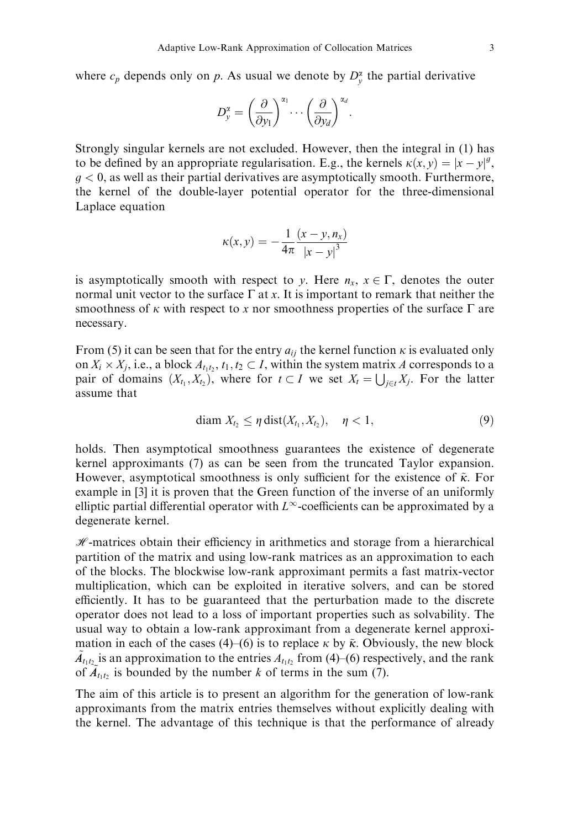where  $c_p$  depends only on p. As usual we denote by  $D_y^{\alpha}$  the partial derivative

$$
D_y^{\alpha} = \left(\frac{\partial}{\partial y_1}\right)^{\alpha_1} \cdots \left(\frac{\partial}{\partial y_d}\right)^{\alpha_d}.
$$

Strongly singular kernels are not excluded. However, then the integral in (1) has to be defined by an appropriate regularisation. E.g., the kernels  $\kappa(x, y) = |x - y|^g$ ,  $g < 0$ , as well as their partial derivatives are asymptotically smooth. Furthermore, the kernel of the double-layer potential operator for the three-dimensional Laplace equation

$$
\kappa(x, y) = -\frac{1}{4\pi} \frac{(x - y, n_x)}{|x - y|^3}
$$

is asymptotically smooth with respect to y. Here  $n_x$ ,  $x \in \Gamma$ , denotes the outer normal unit vector to the surface  $\Gamma$  at x. It is important to remark that neither the smoothness of  $\kappa$  with respect to x nor smoothness properties of the surface  $\Gamma$  are necessary.

From (5) it can be seen that for the entry  $a_{ij}$  the kernel function  $\kappa$  is evaluated only on  $X_i \times X_j$ , i.e., a block  $A_{t_1t_2}$ ,  $t_1, t_2 \subset I$ , within the system matrix A corresponds to a pair of domains  $(X_t, X_t)$ , where for  $t \subset I$  we set  $X_t = \bigcup_{j \in t} X_j$ . For the latter assume that

$$
\text{diam } X_{t_2} \leq \eta \, \text{dist}(X_{t_1}, X_{t_2}), \quad \eta < 1,\tag{9}
$$

holds. Then asymptotical smoothness guarantees the existence of degenerate kernel approximants (7) as can be seen from the truncated Taylor expansion. However, asymptotical smoothness is only sufficient for the existence of  $\tilde{\kappa}$ . For example in [3] it is proven that the Green function of the inverse of an uniformly elliptic partial differential operator with  $L^{\infty}$ -coefficients can be approximated by a degenerate kernel.

 $H$ -matrices obtain their efficiency in arithmetics and storage from a hierarchical partition of the matrix and using low-rank matrices as an approximation to each of the blocks. The blockwise low-rank approximant permits a fast matrix-vector multiplication, which can be exploited in iterative solvers, and can be stored efficiently. It has to be guaranteed that the perturbation made to the discrete operator does not lead to a loss of important properties such as solvability. The usual way to obtain a low-rank approximant from a degenerate kernel approximation in each of the cases (4)–(6) is to replace  $\kappa$  by  $\tilde{\kappa}$ . Obviously, the new block  $\tilde{A}_{t_1t_2}$  is an approximation to the entries  $A_{t_1t_2}$  from (4)–(6) respectively, and the rank of  $\tilde{A}_{t_1t_2}$  is bounded by the number k of terms in the sum (7).

The aim of this article is to present an algorithm for the generation of low-rank approximants from the matrix entries themselves without explicitly dealing with the kernel. The advantage of this technique is that the performance of already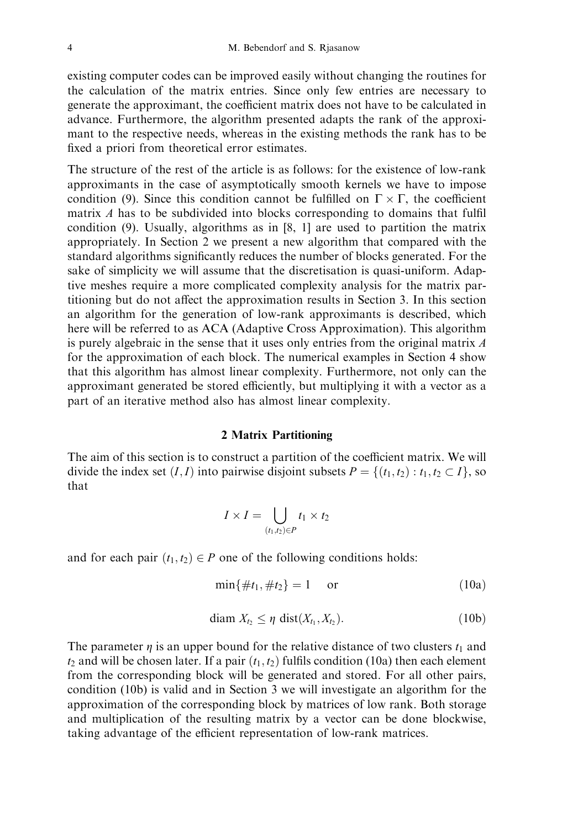existing computer codes can be improved easily without changing the routines for the calculation of the matrix entries. Since only few entries are necessary to generate the approximant, the coefficient matrix does not have to be calculated in advance. Furthermore, the algorithm presented adapts the rank of the approximant to the respective needs, whereas in the existing methods the rank has to be fixed a priori from theoretical error estimates.

The structure of the rest of the article is as follows: for the existence of low-rank approximants in the case of asymptotically smooth kernels we have to impose condition (9). Since this condition cannot be fulfilled on  $\Gamma \times \Gamma$ , the coefficient matrix A has to be subdivided into blocks corresponding to domains that fulfil condition (9). Usually, algorithms as in [8, 1] are used to partition the matrix appropriately. In Section 2 we present a new algorithm that compared with the standard algorithms significantly reduces the number of blocks generated. For the sake of simplicity we will assume that the discretisation is quasi-uniform. Adaptive meshes require a more complicated complexity analysis for the matrix partitioning but do not affect the approximation results in Section 3. In this section an algorithm for the generation of low-rank approximants is described, which here will be referred to as ACA (Adaptive Cross Approximation). This algorithm is purely algebraic in the sense that it uses only entries from the original matrix A for the approximation of each block. The numerical examples in Section 4 show that this algorithm has almost linear complexity. Furthermore, not only can the approximant generated be stored efficiently, but multiplying it with a vector as a part of an iterative method also has almost linear complexity.

### 2 Matrix Partitioning

The aim of this section is to construct a partition of the coefficient matrix. We will divide the index set  $(I, I)$  into pairwise disjoint subsets  $P = \{(t_1, t_2) : t_1, t_2 \subset I\}$ , so that

$$
I \times I = \bigcup_{(t_1, t_2) \in P} t_1 \times t_2
$$

and for each pair  $(t_1, t_2) \in P$  one of the following conditions holds:

$$
\min\{\#t_1, \#t_2\} = 1 \quad \text{or} \tag{10a}
$$

$$
\text{diam } X_{t_2} \leq \eta \text{ dist}(X_{t_1}, X_{t_2}).\tag{10b}
$$

The parameter  $\eta$  is an upper bound for the relative distance of two clusters  $t_1$  and  $t_2$  and will be chosen later. If a pair  $(t_1, t_2)$  fulfils condition (10a) then each element from the corresponding block will be generated and stored. For all other pairs, condition (10b) is valid and in Section 3 we will investigate an algorithm for the approximation of the corresponding block by matrices of low rank. Both storage and multiplication of the resulting matrix by a vector can be done blockwise, taking advantage of the efficient representation of low-rank matrices.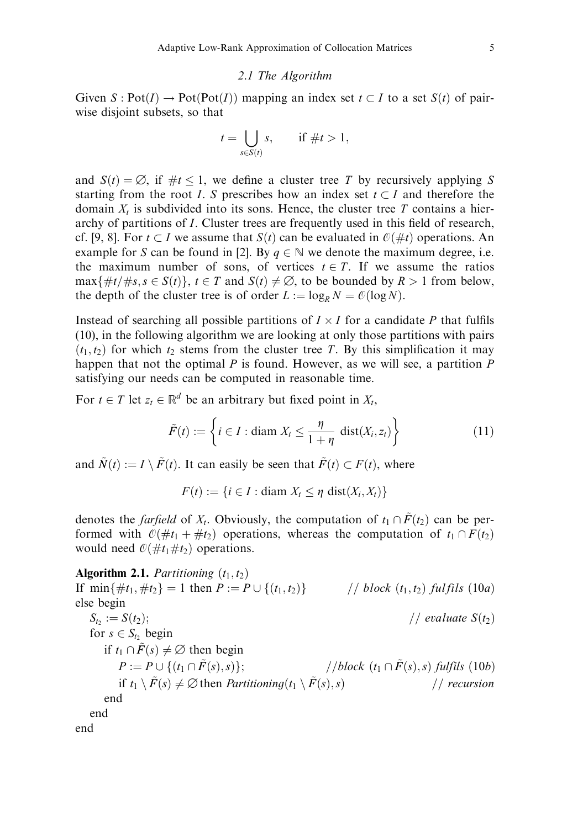#### 2.1 The Algorithm

Given  $S: Pot(I) \to Pot(Pot(I))$  mapping an index set  $t \subset I$  to a set  $S(t)$  of pairwise disjoint subsets, so that

$$
t = \bigcup_{s \in S(t)} s, \quad \text{if } \#t > 1,
$$

and  $S(t) = \emptyset$ , if  $\#t \leq 1$ , we define a cluster tree T by recursively applying S starting from the root *I*. S prescribes how an index set  $t \subset I$  and therefore the domain  $X_t$  is subdivided into its sons. Hence, the cluster tree T contains a hierarchy of partitions of I. Cluster trees are frequently used in this field of research, cf. [9, 8]. For  $t \subset I$  we assume that  $S(t)$  can be evaluated in  $\mathcal{O}(\#t)$  operations. An example for S can be found in [2]. By  $q \in \mathbb{N}$  we denote the maximum degree, i.e. the maximum number of sons, of vertices  $t \in T$ . If we assume the ratios  $\max\{\#t/\#s, s \in S(t)\}\$ ,  $t \in T$  and  $S(t) \neq \emptyset$ , to be bounded by  $R > 1$  from below, the depth of the cluster tree is of order  $L := \log_R N = \mathcal{O}(\log N)$ .

Instead of searching all possible partitions of  $I \times I$  for a candidate P that fulfils (10), in the following algorithm we are looking at only those partitions with pairs  $(t_1, t_2)$  for which  $t_2$  stems from the cluster tree T. By this simplification it may happen that not the optimal  $P$  is found. However, as we will see, a partition  $P$ satisfying our needs can be computed in reasonable time.

For  $t \in T$  let  $z_t \in \mathbb{R}^d$  be an arbitrary but fixed point in  $X_t$ ,

$$
\tilde{F}(t) := \left\{ i \in I : \text{diam } X_t \le \frac{\eta}{1 + \eta} \text{ dist}(X_i, z_t) \right\}
$$
\n(11)

and  $\tilde{N}(t) := I \setminus \tilde{F}(t)$ . It can easily be seen that  $\tilde{F}(t) \subset F(t)$ , where

 $F(t) := \{i \in I : \text{diam } X_t \leq n \text{ dist}(X_i, X_t)\}$ 

denotes the *farfield* of  $X_t$ . Obviously, the computation of  $t_1 \cap \tilde{F}(t_2)$  can be performed with  $\mathcal{O}(\#t_1 + \#t_2)$  operations, whereas the computation of  $t_1 \cap F(t_2)$ would need  $\mathcal{O}(\# t_1 \# t_2)$  operations.

Algorithm 2.1. Partitioning  $(t_1, t_2)$ If  $\min\{\#t_1, \#t_2\} = 1$  then  $P := P \cup \{(t_1, t_2)\}$  // block  $(t_1, t_2)$  fulfils  $(10a)$ else begin  $S_t := S(t_2);$   $\qquad \qquad \qquad$  ( evaluate  $S(t_2)$ for  $s \in S_t$ , begin if  $t_1 \cap \tilde{F}(s) \neq \emptyset$  then begin  $P := P \cup \{(t_1 \cap \tilde{F}(s), s)\};$  //block  $(t_1 \cap \tilde{F}(s), s)$  fulfils  $(10b)$ if  $t_1 \setminus \tilde{F}(s) \neq \emptyset$  then Partitioning $(t_1 \setminus \tilde{F}(s), s)$  // recursion end end end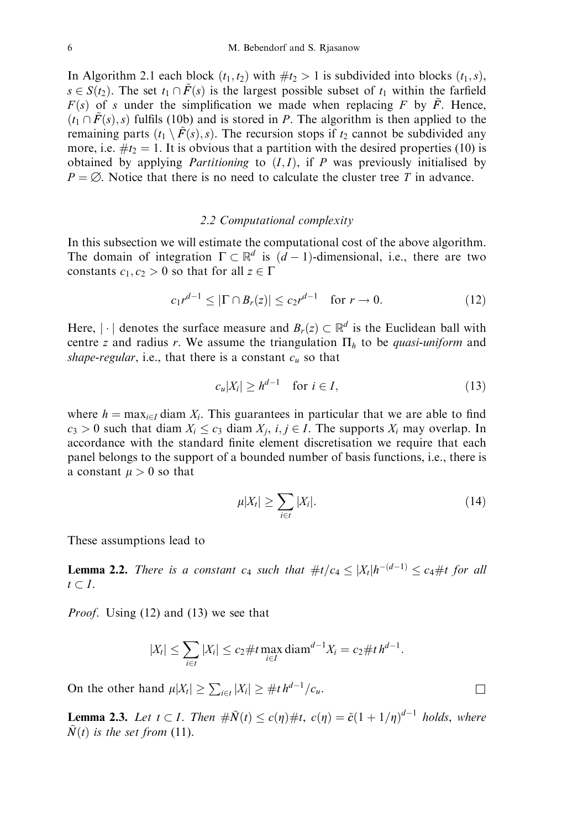In Algorithm 2.1 each block  $(t_1, t_2)$  with  $\#t_2 > 1$  is subdivided into blocks  $(t_1, s)$ ,  $s \in S(t_2)$ . The set  $t_1 \cap \tilde{F}(s)$  is the largest possible subset of  $t_1$  within the farfield  $F(s)$  of s under the simplification we made when replacing F by  $\tilde{F}$ . Hence,  $(t_1 \cap \tilde{F}(s), s)$  fulfils (10b) and is stored in P. The algorithm is then applied to the remaining parts  $(t_1 \setminus \tilde{F}(s), s)$ . The recursion stops if  $t_2$  cannot be subdivided any more, i.e.  $\#t_2 = 1$ . It is obvious that a partition with the desired properties (10) is obtained by applying *Partitioning* to  $(I, I)$ , if *P* was previously initialised by  $P = \emptyset$ . Notice that there is no need to calculate the cluster tree T in advance.

### 2.2 Computational complexity

In this subsection we will estimate the computational cost of the above algorithm. The domain of integration  $\Gamma \subset \mathbb{R}^d$  is  $(d-1)$ -dimensional, i.e., there are two constants  $c_1, c_2 > 0$  so that for all  $z \in \Gamma$ 

$$
c_1 r^{d-1} \le |\Gamma \cap B_r(z)| \le c_2 r^{d-1} \quad \text{for } r \to 0. \tag{12}
$$

Here, |  $\cdot$ | denotes the surface measure and  $B_r(z) \subset \mathbb{R}^d$  is the Euclidean ball with centre z and radius r. We assume the triangulation  $\Pi_h$  to be *quasi-uniform* and shape-regular, i.e., that there is a constant  $c<sub>u</sub>$  so that

$$
c_u|X_i| \ge h^{d-1} \quad \text{for } i \in I,
$$
\n<sup>(13)</sup>

where  $h = \max_{i \in I}$  diam  $X_i$ . This guarantees in particular that we are able to find  $c_3 > 0$  such that diam  $X_i \leq c_3$  diam  $X_i$ ,  $i, j \in I$ . The supports  $X_i$  may overlap. In accordance with the standard finite element discretisation we require that each panel belongs to the support of a bounded number of basis functions, i.e., there is a constant  $\mu > 0$  so that

$$
\mu|X_t| \ge \sum_{i \in t} |X_i|.\tag{14}
$$

These assumptions lead to

**Lemma 2.2.** There is a constant  $c_4$  such that  $\#t/c_4 \leq |X_t| h^{-(d-1)} \leq c_4 \# t$  for all  $t \subset I$ .

Proof. Using (12) and (13) we see that

$$
|X_t| \le \sum_{i \in t} |X_i| \le c_2 \# t \max_{i \in I} \text{diam}^{d-1} X_i = c_2 \# t \, h^{d-1}.
$$

On the other hand  $\mu |X_t| \geq \sum_{i \in t} |X_i| \geq \# t h^{d-1}/c_u$ .

**Lemma 2.3.** Let  $t \subset I$ . Then  $\#\tilde{N}(t) \leq c(\eta)\#t$ ,  $c(\eta) = \tilde{c}(1 + 1/\eta)^{d-1}$  holds, where  $\tilde{N}(t)$  is the set from (11).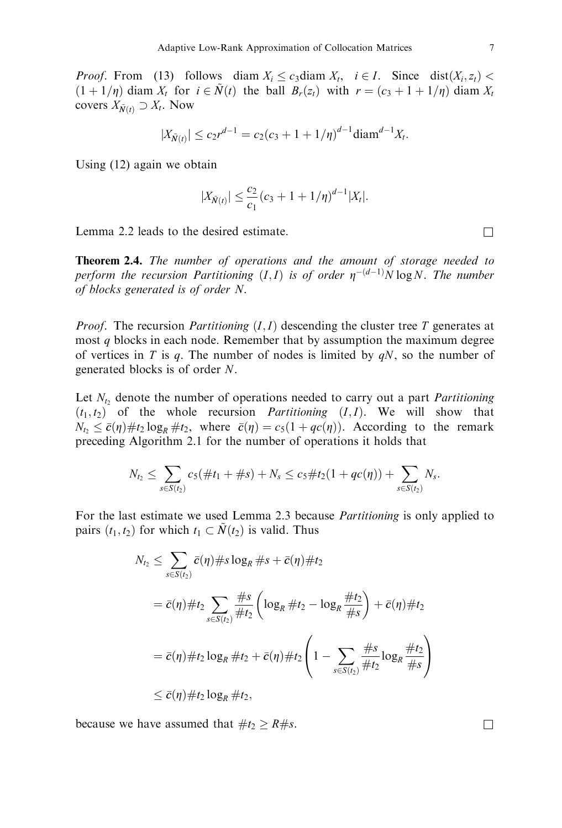*Proof.* From (13) follows diam  $X_i \leq c_3$  diam  $X_i$ ,  $i \in I$ . Since dist $(X_i, z_i)$  $(1+1/\eta)$  diam  $X_t$  for  $i \in \tilde{N}(t)$  the ball  $B_r(z_t)$  with  $r = (c_3 + 1 + 1/\eta)$  diam  $X_t$ covers  $X_{\tilde{N}(t)} \supset X_t$ . Now

$$
|X_{\tilde{N}(t)}| \le c_2 r^{d-1} = c_2 (c_3 + 1 + 1/\eta)^{d-1} \text{diam}^{d-1} X_t.
$$

Using (12) again we obtain

$$
|X_{\tilde{N}(t)}| \leq \frac{c_2}{c_1}(c_3 + 1 + 1/\eta)^{d-1} |X_t|.
$$

Lemma 2.2 leads to the desired estimate.  $\Box$ 

Theorem 2.4. The number of operations and the amount of storage needed to perform the recursion Partitioning  $(I,I)$  is of order  $\eta^{-(d-1)}N \log N$ . The number of blocks generated is of order N.

*Proof.* The recursion *Partitioning*  $(I, I)$  descending the cluster tree T generates at most q blocks in each node. Remember that by assumption the maximum degree of vertices in T is q. The number of nodes is limited by  $qN$ , so the number of generated blocks is of order N.

Let  $N_t$ , denote the number of operations needed to carry out a part *Partitioning*  $(t_1, t_2)$  of the whole recursion *Partitioning*  $(I, I)$ . We will show that  $N_{t_2} \leq \bar{c}(\eta) \# t_2 \log_R \# t_2$ , where  $\bar{c}(\eta) = c_5(1 + qc(\eta))$ . According to the remark preceding Algorithm 2.1 for the number of operations it holds that

$$
N_{t_2} \leq \sum_{s \in S(t_2)} c_5(\#t_1 + \#s) + N_s \leq c_5 \#t_2(1 + qc(\eta)) + \sum_{s \in S(t_2)} N_s.
$$

For the last estimate we used Lemma 2.3 because Partitioning is only applied to pairs  $(t_1, t_2)$  for which  $t_1 \subset \tilde{N}(t_2)$  is valid. Thus

$$
N_{t_2} \leq \sum_{s \in S(t_2)} \bar{c}(\eta) \# s \log_R \# s + \bar{c}(\eta) \# t_2
$$
  
=  $\bar{c}(\eta) \# t_2 \sum_{s \in S(t_2)} \frac{\# s}{\# t_2} \left( \log_R \# t_2 - \log_R \frac{\# t_2}{\# s} \right) + \bar{c}(\eta) \# t_2$   
=  $\bar{c}(\eta) \# t_2 \log_R \# t_2 + \bar{c}(\eta) \# t_2 \left( 1 - \sum_{s \in S(t_2)} \frac{\# s}{\# t_2} \log_R \frac{\# t_2}{\# s} \right)$   
 $\leq \bar{c}(\eta) \# t_2 \log_R \# t_2$ ,

because we have assumed that  $\#t_2 > R\#s$ .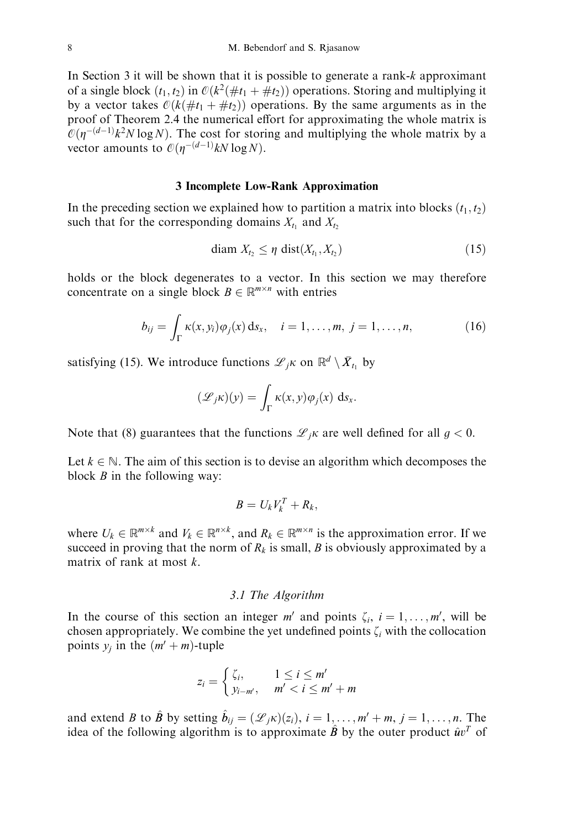In Section 3 it will be shown that it is possible to generate a rank-k approximant of a single block  $(t_1, t_2)$  in  $\mathcal{O}(k^2(\# t_1 + \# t_2))$  operations. Storing and multiplying it by a vector takes  $\mathcal{O}(k(\# t_1 + \# t_2))$  operations. By the same arguments as in the proof of Theorem 2.4 the numerical effort for approximating the whole matrix is  $\mathcal{O}(\eta^{-(d-1)}k^2N \log N)$ . The cost for storing and multiplying the whole matrix by a vector amounts to  $\mathcal{O}(\eta^{-(d-1)}kN\log N)$ .

#### 3 Incomplete Low-Rank Approximation

In the preceding section we explained how to partition a matrix into blocks  $(t_1, t_2)$ such that for the corresponding domains  $X_{t_1}$  and  $X_{t_2}$ 

$$
\text{diam } X_{t_2} \leq \eta \text{ dist}(X_{t_1}, X_{t_2}) \tag{15}
$$

holds or the block degenerates to a vector. In this section we may therefore concentrate on a single block  $B \in \mathbb{R}^{m \times n}$  with entries

$$
b_{ij} = \int_{\Gamma} \kappa(x, y_i) \varphi_j(x) \, ds_x, \quad i = 1, \dots, m, \ j = 1, \dots, n,
$$
 (16)

satisfying (15). We introduce functions  $\mathscr{L}_{i}$  on  $\mathbb{R}^{d} \setminus \overline{X}_{t_1}$  by

$$
(\mathscr{L}_{j}\kappa)(y) = \int_{\Gamma} \kappa(x, y)\varphi_{j}(x) \, \mathrm{d} s_{x}.
$$

Note that (8) guarantees that the functions  $\mathcal{L}_{jk}$  are well defined for all  $q < 0$ .

Let  $k \in \mathbb{N}$ . The aim of this section is to devise an algorithm which decomposes the block  $B$  in the following way:

$$
B=U_kV_k^T+R_k,
$$

where  $U_k \in \mathbb{R}^{m \times k}$  and  $V_k \in \mathbb{R}^{n \times k}$ , and  $R_k \in \mathbb{R}^{m \times n}$  is the approximation error. If we succeed in proving that the norm of  $R_k$  is small, B is obviously approximated by a matrix of rank at most k.

### 3.1 The Algorithm

In the course of this section an integer  $m'$  and points  $\zeta_i$ ,  $i = 1, \ldots, m'$ , will be chosen appropriately. We combine the yet undefined points  $\zeta_i$  with the collocation points  $y_i$  in the  $(m' + m)$ -tuple

$$
z_i = \begin{cases} \zeta_i, & 1 \leq i \leq m' \\ y_{i-m'}, & m' < i \leq m' + m \end{cases}
$$

and extend B to  $\hat{B}$  by setting  $\hat{b}_{ij} = (\mathcal{L}_{jk})(z_i)$ ,  $i = 1, \ldots, m' + m$ ,  $j = 1, \ldots, n$ . The idea of the following algorithm is to approximate  $\hat{B}$  by the outer product  $\hat{u}v^T$  of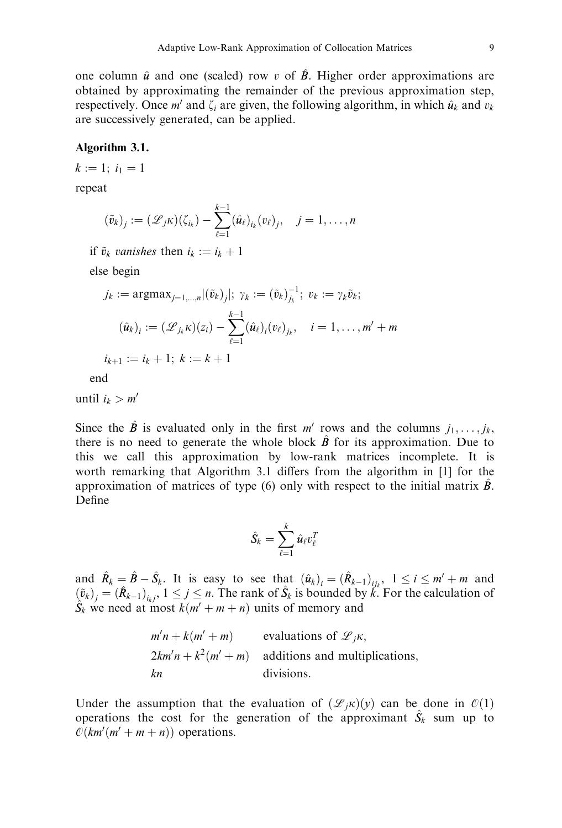one column  $\hat{u}$  and one (scaled) row v of  $\hat{B}$ . Higher order approximations are obtained by approximating the remainder of the previous approximation step, respectively. Once m' and  $\zeta_i$  are given, the following algorithm, in which  $\hat{u}_k$  and  $v_k$ are successively generated, can be applied.

#### Algorithm 3.1.

 $k := 1; i_1 = 1$ 

repeat

$$
(\tilde{v}_k)_j := (\mathscr{L}_j \kappa)(\zeta_{i_k}) - \sum_{\ell=1}^{k-1} (\hat{u}_\ell)_{i_k} (v_\ell)_j, \quad j=1,\ldots,n
$$

if  $\tilde{v}_k$  vanishes then  $i_k := i_k + 1$ 

else begin

$$
j_k := \operatorname{argmax}_{j=1,\dots,n} |(\tilde{v}_k)_j|; \ \gamma_k := (\tilde{v}_k)_{j_k}^{-1}; \ v_k := \gamma_k \tilde{v}_k; \n(\hat{u}_k)_i := (\mathcal{L}_{j_k} \kappa)(z_i) - \sum_{\ell=1}^{k-1} (\hat{u}_\ell)_i (v_\ell)_{j_k}, \quad i = 1,\dots, m' + m \n i_{k+1} := i_k + 1; \ k := k + 1
$$

end

until  $i_k > m'$ 

Since the  $\hat{B}$  is evaluated only in the first m' rows and the columns  $j_1, \ldots, j_k$ there is no need to generate the whole block  $\hat{B}$  for its approximation. Due to this we call this approximation by low-rank matrices incomplete. It is worth remarking that Algorithm 3.1 differs from the algorithm in [1] for the approximation of matrices of type  $(6)$  only with respect to the initial matrix  $\ddot{B}$ . Define

$$
\hat{S}_k = \sum_{\ell=1}^k \hat{u}_\ell v_\ell^{\mathcal{I}}
$$

and  $\hat{R}_k = \hat{B} - \hat{S}_k$ . It is easy to see that  $(\hat{u}_k)_i = (\hat{R}_{k-1})_{ijk}$ ,  $1 \le i \le m' + m$  and  $(\tilde{v}_k)_j = (\hat{R}_{k-1})_{i_k j}, 1 \le j \le n$ . The rank of  $\hat{S}_k$  is bounded by k. For the calculation of  $\hat{S}_k$  we need at most  $k(m' + m + n)$  units of memory and

$$
m'n + k(m' + m)
$$
 evaluations of  $\mathcal{L}_j\kappa$ ,  
\n $2km'n + k^2(m' + m)$  additions and multiplications,  
\n*kn* divisions.

Under the assumption that the evaluation of  $(\mathcal{L}_{ik})(v)$  can be done in  $\mathcal{O}(1)$ operations the cost for the generation of the approximant  $\hat{S}_k$  sum up to  $\mathcal{O}(km'(m'+m+n))$  operations.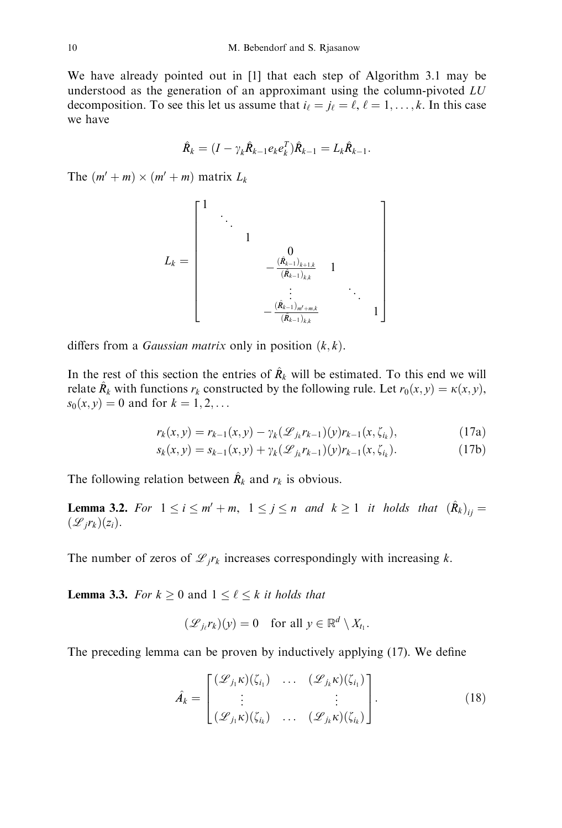We have already pointed out in [1] that each step of Algorithm 3.1 may be understood as the generation of an approximant using the column-pivoted  $LU$ decomposition. To see this let us assume that  $i_{\ell} = j_{\ell} = \ell, \ell = 1, \ldots, k$ . In this case we have

$$
\hat{R}_k = (I - \gamma_k \hat{R}_{k-1} e_k e_k^T) \hat{R}_{k-1} = L_k \hat{R}_{k-1}.
$$

The  $(m' + m) \times (m' + m)$  matrix  $L_k$ 

$$
L_k = \begin{bmatrix} 1 & & & & & & & \\ & \ddots & & & & & & \\ & & 1 & & & & & \\ & & & 1 & & & & \\ & & & -\frac{(\hat{R}_{k-1})_{k+1,k}}{(\hat{R}_{k-1})_{k,k}} & 1 & & \\ & & & \ddots & & & \\ & & & & -\frac{(\hat{R}_{k-1})_{m'+m,k}}{(\hat{R}_{k-1})_{k,k}} & 1 \end{bmatrix}
$$

differs from a *Gaussian matrix* only in position  $(k, k)$ .

In the rest of this section the entries of  $\hat{R}_k$  will be estimated. To this end we will relate  $\hat{R}_k$  with functions  $r_k$  constructed by the following rule. Let  $r_0(x, y) = \kappa(x, y)$ ,  $s_0(x, y) = 0$  and for  $k = 1, 2, ...$ 

$$
r_k(x, y) = r_{k-1}(x, y) - \gamma_k(\mathcal{L}_{jk}r_{k-1})(y)r_{k-1}(x, \zeta_{i_k}),
$$
\n(17a)

$$
s_k(x, y) = s_{k-1}(x, y) + \gamma_k(\mathcal{L}_{jk}r_{k-1})(y)r_{k-1}(x, \zeta_{i_k}).
$$
\n(17b)

The following relation between  $\hat{R}_k$  and  $r_k$  is obvious.

**Lemma 3.2.** For  $1 \le i \le m' + m$ ,  $1 \le j \le n$  and  $k \ge 1$  it holds that  $(\hat{R}_k)_{ii} =$  $(\mathscr{L}_i r_k)(z_i)$ .

The number of zeros of  $\mathscr{L}_{i}r_{k}$  increases correspondingly with increasing k.

**Lemma 3.3.** For  $k \geq 0$  and  $1 \leq \ell \leq k$  it holds that

$$
(\mathcal{L}_{j_{\ell}}r_k)(y) = 0 \quad \text{for all } y \in \mathbb{R}^d \setminus X_{t_1}.
$$

The preceding lemma can be proven by inductively applying (17). We define

$$
\hat{A}_{k} = \begin{bmatrix} (\mathcal{L}_{j_{1}} \kappa)(\zeta_{i_{1}}) & \dots & (\mathcal{L}_{j_{k}} \kappa)(\zeta_{i_{1}}) \\ \vdots & & \vdots \\ (\mathcal{L}_{j_{1}} \kappa)(\zeta_{i_{k}}) & \dots & (\mathcal{L}_{j_{k}} \kappa)(\zeta_{i_{k}}) \end{bmatrix} .
$$
 (18)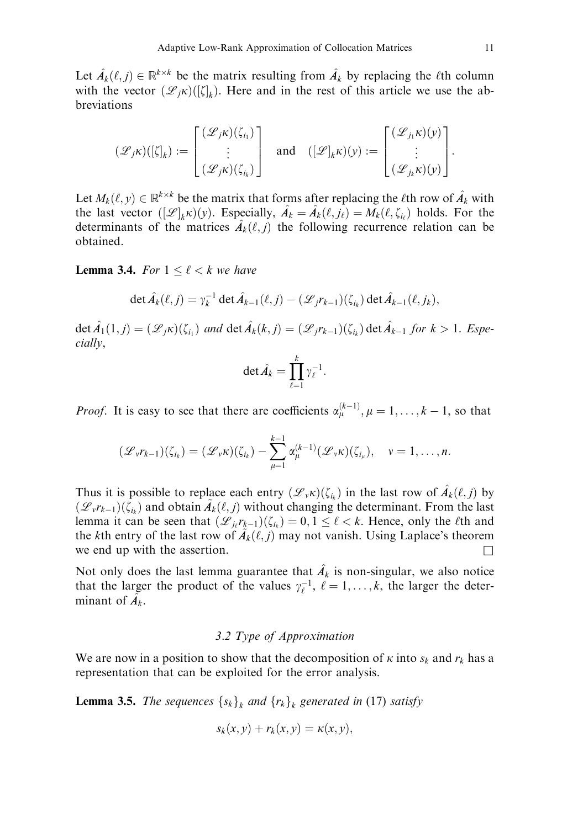Let  $\hat{A}_k(\ell, j) \in \mathbb{R}^{k \times k}$  be the matrix resulting from  $\hat{A}_k$  by replacing the  $\ell$ th column with the vector  $(\mathscr{L}_{j}\kappa)(\llbracket \zeta \rrbracket_k)$ . Here and in the rest of this article we use the abbreviations

$$
(\mathscr{L}_{j}\kappa)(\left[\zeta\right]_{k}) := \begin{bmatrix} (\mathscr{L}_{j}\kappa)(\zeta_{i_{1}}) \\ \vdots \\ (\mathscr{L}_{j}\kappa)(\zeta_{i_{k}}) \end{bmatrix} \text{ and } (\left[\mathscr{L}\right]_{k}\kappa)(y) := \begin{bmatrix} (\mathscr{L}_{j_{1}}\kappa)(y) \\ \vdots \\ (\mathscr{L}_{j_{k}}\kappa)(y) \end{bmatrix}.
$$

Let  $M_k(\ell, y) \in \mathbb{R}^{k \times k}$  be the matrix that forms after replacing the  $\ell$ th row of  $\hat{A}_k$  with the last vector  $([\mathcal{L}]_k \kappa)(y)$ . Especially,  $\hat{A}_k = \hat{A}_k(\ell, j_\ell) = M_k(\ell, \zeta_{i_\ell})$  holds. For the determinants of the matrices  $\hat{A}_k(\ell, j)$  the following recurrence relation can be obtained.

**Lemma 3.4.** For  $1 \leq \ell < k$  we have

$$
\det \hat{A}_k(\ell,j) = \gamma_k^{-1} \det \hat{A}_{k-1}(\ell,j) - (\mathscr{L}_j r_{k-1})(\zeta_{i_k}) \det \hat{A}_{k-1}(\ell,j_k),
$$

 $\det \hat{A}_1(1,j) = (\mathscr{L}_{j} \kappa)(\zeta_{i_1})$  and  $\det \hat{A}_k(k,j) = (\mathscr{L}_{j} r_{k-1})(\zeta_{i_k}) \det \hat{A}_{k-1}$  for  $k > 1$ . Especially,

$$
\det \hat{A}_k = \prod_{\ell=1}^k \gamma_\ell^{-1}.
$$

*Proof.* It is easy to see that there are coefficients  $\alpha_{\mu}^{(k-1)}$ ,  $\mu = 1, \ldots, k-1$ , so that

$$
(\mathscr{L}_v r_{k-1})(\zeta_{i_k}) = (\mathscr{L}_v \kappa)(\zeta_{i_k}) - \sum_{\mu=1}^{k-1} \alpha_{\mu}^{(k-1)}(\mathscr{L}_v \kappa)(\zeta_{i_{\mu}}), \quad v = 1, \ldots, n.
$$

Thus it is possible to replace each entry  $(\mathscr{L}_{\nu} \kappa)(\zeta_{i_k})$  in the last row of  $\hat{A}_k(\ell,j)$  by  $(\mathscr{L}_{v}r_{k-1})(\zeta_{i_k})$  and obtain  $\tilde{A}_k(\ell,j)$  without changing the determinant. From the last lemma it can be seen that  $(\mathcal{L}_{i_l} r_{k-1})(\zeta_{i_k}) = 0, 1 \leq \ell < k$ . Hence, only the  $\ell$ th and the kth entry of the last row of  $\tilde{A}_k(\ell, j)$  may not vanish. Using Laplace's theorem we end up with the assertion.  $\Box$ 

Not only does the last lemma guarantee that  $\hat{A}_k$  is non-singular, we also notice that the larger the product of the values  $\gamma_{\ell}^{-1}$ ,  $\ell = 1, \ldots, k$ , the larger the determinant of  $\hat{A_k}$ .

### 3.2 Type of Approximation

We are now in a position to show that the decomposition of  $\kappa$  into  $s_k$  and  $r_k$  has a representation that can be exploited for the error analysis.

**Lemma 3.5.** The sequences  $\{s_k\}_k$  and  $\{r_k\}_k$  generated in (17) satisfy

$$
s_k(x, y) + r_k(x, y) = \kappa(x, y),
$$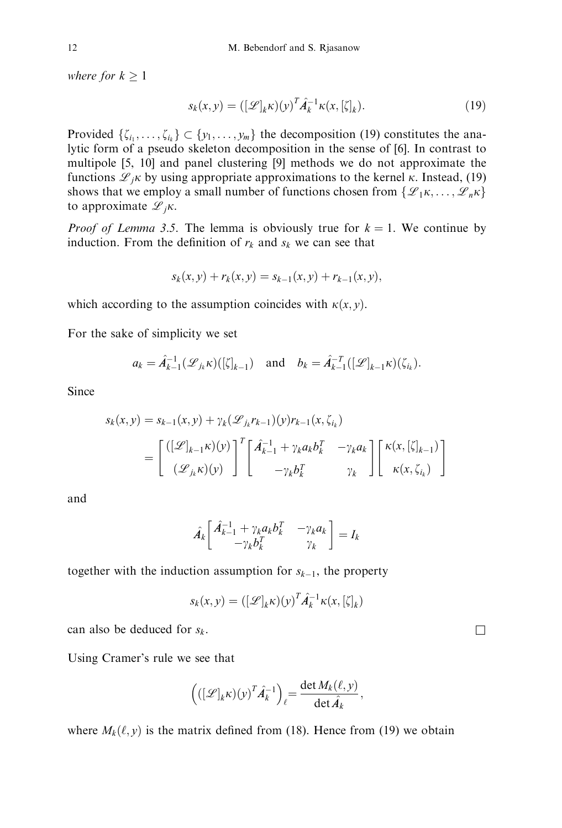where for  $k > 1$ 

$$
s_k(x, y) = \left( [\mathcal{L}]_k \kappa \right) (y)^T \hat{A}_k^{-1} \kappa(x, [\zeta]_k). \tag{19}
$$

Provided  $\{\zeta_{i_1}, \ldots, \zeta_{i_k}\} \subset \{y_1, \ldots, y_m\}$  the decomposition (19) constitutes the analytic form of a pseudo skeleton decomposition in the sense of [6]. In contrast to multipole [5, 10] and panel clustering [9] methods we do not approximate the functions  $\mathcal{L}_{i}$  by using appropriate approximations to the kernel  $\kappa$ . Instead, (19) shows that we employ a small number of functions chosen from  $\{\mathscr{L}_1\kappa, \ldots, \mathscr{L}_n\kappa\}$ to approximate  $\mathscr{L}_{i}$ <sub>K</sub>.

*Proof of Lemma 3.5.* The lemma is obviously true for  $k = 1$ . We continue by induction. From the definition of  $r_k$  and  $s_k$  we can see that

$$
s_k(x, y) + r_k(x, y) = s_{k-1}(x, y) + r_{k-1}(x, y),
$$

which according to the assumption coincides with  $\kappa(x, y)$ .

For the sake of simplicity we set

$$
a_k = \hat{A}_{k-1}^{-1}(\mathcal{L}_{j_k}\kappa)(\left[\zeta\right]_{k-1}) \quad \text{and} \quad b_k = \hat{A}_{k-1}^{-T}(\left[\mathcal{L}\right]_{k-1}\kappa)(\zeta_{i_k}).
$$

Since

$$
s_k(x, y) = s_{k-1}(x, y) + \gamma_k(\mathcal{L}_{jk}r_{k-1})(y)r_{k-1}(x, \zeta_{i_k})
$$
  
= 
$$
\begin{bmatrix} ([\mathcal{L}]_{k-1}\kappa)(y) \\ (\mathcal{L}_{jk}\kappa)(y) \end{bmatrix}^T \begin{bmatrix} \hat{A}_{k-1}^{-1} + \gamma_k a_k b_k^T & -\gamma_k a_k \\ -\gamma_k b_k^T & \gamma_k \end{bmatrix} \begin{bmatrix} \kappa(x, [\zeta]_{k-1}) \\ \kappa(x, \zeta_{i_k}) \end{bmatrix}
$$

and

$$
\hat{A_k} \begin{bmatrix} \hat{A}_{k-1}^{-1} + \gamma_k a_k b_k^T & -\gamma_k a_k \\ -\gamma_k b_k^T & \gamma_k \end{bmatrix} = I_k
$$

together with the induction assumption for  $s_{k-1}$ , the property

$$
s_k(x, y) = \left( [\mathcal{L}]_k \kappa \right) (y)^T \hat{A}_k^{-1} \kappa(x, [\zeta]_k)
$$

can also be deduced for  $s_k$ .

Using Cramer's rule we see that

$$
\left( ([\mathscr{L}]_{k} \kappa)(y)^{T} \hat{A}_{k}^{-1} \right)_{\ell} = \frac{\det M_{k}(\ell, y)}{\det \hat{A}_{k}},
$$

where  $M_k(\ell, y)$  is the matrix defined from (18). Hence from (19) we obtain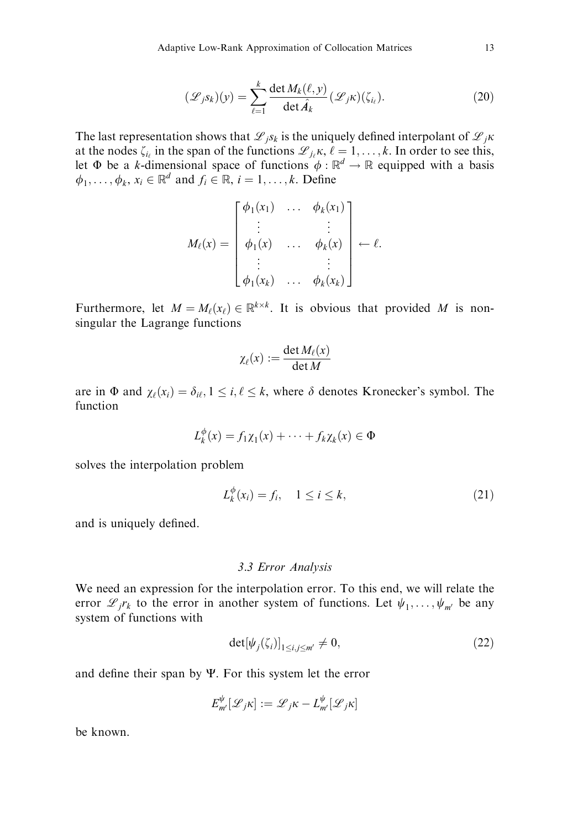$$
(\mathcal{L}_{j}S_{k})(y) = \sum_{\ell=1}^{k} \frac{\det M_{k}(\ell, y)}{\det \hat{A}_{k}} (\mathcal{L}_{j}K)(\zeta_{i_{\ell}}).
$$
 (20)

The last representation shows that  $\mathcal{L}_{jS_k}$  is the uniquely defined interpolant of  $\mathcal{L}_{jK}$ at the nodes  $\zeta_{i}$  in the span of the functions  $\mathcal{L}_{i}$ ,  $\kappa$ ,  $\ell = 1, \ldots, k$ . In order to see this, let  $\Phi$  be a k-dimensional space of functions  $\phi : \mathbb{R}^d \to \mathbb{R}$  equipped with a basis  $\phi_1, \ldots, \phi_k, x_i \in \mathbb{R}^d$  and  $f_i \in \mathbb{R}, i = 1, \ldots, k$ . Define

$$
M_{\ell}(x) = \begin{bmatrix} \phi_1(x_1) & \cdots & \phi_k(x_1) \\ \vdots & & \vdots \\ \phi_1(x) & \cdots & \phi_k(x) \\ \vdots & & \vdots \\ \phi_1(x_k) & \cdots & \phi_k(x_k) \end{bmatrix} \leftarrow \ell.
$$

Furthermore, let  $M = M_{\ell}(x_{\ell}) \in \mathbb{R}^{k \times k}$ . It is obvious that provided M is nonsingular the Lagrange functions

$$
\chi_{\ell}(x) := \frac{\det M_{\ell}(x)}{\det M}
$$

are in  $\Phi$  and  $\chi_{\ell}(x_i) = \delta_{i\ell}, 1 \leq i, \ell \leq k$ , where  $\delta$  denotes Kronecker's symbol. The function

$$
L_k^{\phi}(x) = f_1 \chi_1(x) + \cdots + f_k \chi_k(x) \in \Phi
$$

solves the interpolation problem

$$
L_k^{\phi}(x_i) = f_i, \quad 1 \le i \le k,
$$
\n<sup>(21)</sup>

and is uniquely defined.

#### 3.3 Error Analysis

We need an expression for the interpolation error. To this end, we will relate the error  $\mathscr{L}_{i}r_{k}$  to the error in another system of functions. Let  $\psi_{1}, \ldots, \psi_{m'}$  be any system of functions with

$$
\det[\psi_j(\zeta_i)]_{1\le i,j\le m'} \neq 0,\tag{22}
$$

and define their span by  $\Psi$ . For this system let the error

$$
E_{m'}^{\psi}[\mathscr{L}_{j} \kappa] := \mathscr{L}_{j} \kappa - L_{m'}^{\psi}[\mathscr{L}_{j} \kappa]
$$

be known.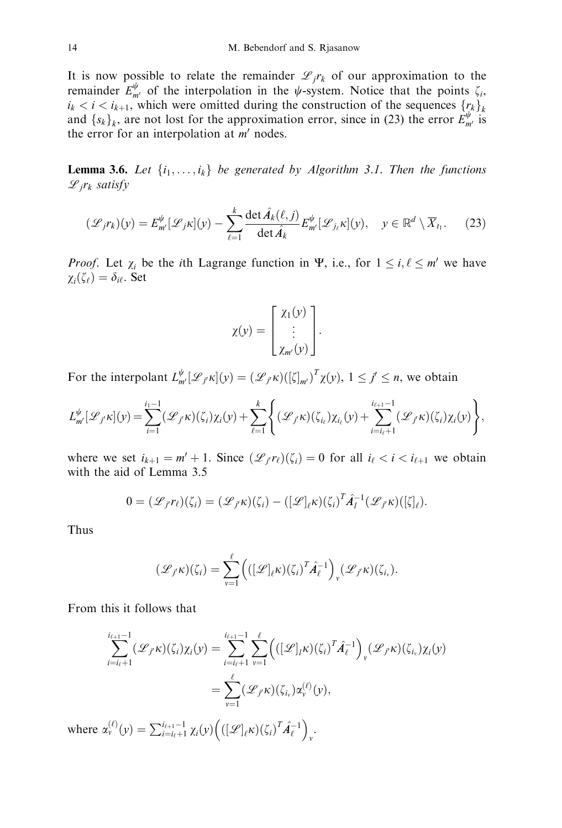It is now possible to relate the remainder  $\mathscr{L}_{i}r_{k}$  of our approximation to the remainder  $E_{m'}^{\psi}$  of the interpolation in the  $\psi$ -system. Notice that the points  $\zeta_i$ ,  $i_k < i < i_{k+1}$ , which were omitted during the construction of the sequences  $\{r_k\}_k$ and  $\{s_k\}_k$ , are not lost for the approximation error, since in (23) the error  $\hat{E}_{m'}^{\psi}$  is the error for an interpolation at  $m'$  nodes.

**Lemma 3.6.** Let  $\{i_1, \ldots, i_k\}$  be generated by Algorithm 3.1. Then the functions  $\mathscr{L}_i r_k$  satisfy

$$
(\mathscr{L}_j r_k)(y) = E_{m'}^{\psi} [\mathscr{L}_j \kappa](y) - \sum_{\ell=1}^k \frac{\det \hat{A}_k(\ell, j)}{\det \hat{A}_k} E_{m'}^{\psi} [\mathscr{L}_{j_\ell} \kappa](y), \quad y \in \mathbb{R}^d \setminus \overline{X}_{t_1}.
$$
 (23)

*Proof.* Let  $\chi_i$  be the *i*th Lagrange function in  $\Psi$ , i.e., for  $1 \le i, \ell \le m'$  we have  $\chi_i(\zeta_{\ell})=\delta_{i\ell}$ . Set

$$
\chi(y) = \begin{bmatrix} \chi_1(y) \\ \vdots \\ \chi_{m'}(y) \end{bmatrix}.
$$

For the interpolant  $L_{m'}^{\psi}[\mathcal{L}_{j'}\kappa](y) = (\mathcal{L}_{j'}\kappa)(\left[\zeta\right]_{m'})^T \chi(y), 1 \le j' \le n$ , we obtain

$$
L_{m'}^{\psi}[\mathcal{L}_{j'}\kappa](y) = \sum_{i=1}^{i_1-1}(\mathcal{L}_{j'}\kappa)(\zeta_i)\chi_i(y) + \sum_{\ell=1}^k \left\{(\mathcal{L}_{j'}\kappa)(\zeta_{i_\ell})\chi_{i_\ell}(y) + \sum_{i=i_\ell+1}^{i_{\ell+1}-1}(\mathcal{L}_{j'}\kappa)(\zeta_i)\chi_i(y)\right\},\,
$$

where we set  $i_{k+1} = m' + 1$ . Since  $(\mathcal{L}_{i'}r_{\ell})(\zeta_i) = 0$  for all  $i_{\ell} < i < i_{\ell+1}$  we obtain with the aid of Lemma 3.5

$$
0=(\mathscr{L}_{f}\mathit{r}_{\ell})(\zeta_{i})=(\mathscr{L}_{f}\mathit{\kappa})(\zeta_{i})-([\mathscr{L}]_{\ell}\mathit{\kappa})(\zeta_{i})^{T}\hat{A}_{I}^{-1}(\mathscr{L}_{f}\mathit{\kappa})([\zeta]_{\ell}).
$$

Thus

$$
(\mathscr{L}_{j'}\kappa)(\zeta_i)=\sum_{\nu=1}^{\ell} \Big( ([\mathscr{L}]_{\ell}\kappa)(\zeta_i)^T \hat{A}_{\ell}^{-1}\Big)_{\nu} (\mathscr{L}_{j'}\kappa)(\zeta_{i_{\nu}}).
$$

From this it follows that

$$
\sum_{i=i_{\ell}+1}^{i_{\ell+1}-1} (\mathscr{L}_{j'}\kappa)(\zeta_{i})\chi_{i}(y) = \sum_{i=i_{\ell}+1}^{i_{\ell+1}-1} \sum_{\nu=1}^{\ell} \left( ([\mathscr{L}]_{l}\kappa)(\zeta_{i})^{T} \hat{A}_{\ell}^{-1} \right)_{\nu} (\mathscr{L}_{j'}\kappa)(\zeta_{i_{\nu}})\chi_{i}(y)
$$

$$
= \sum_{\nu=1}^{\ell} (\mathscr{L}_{j'}\kappa)(\zeta_{i_{\nu}})\alpha_{\nu}^{(\ell)}(y),
$$

where  $\alpha_{\nu}^{(\ell)}(y) = \sum_{i=i_{\ell}+1}^{i_{\ell+1}-1} \chi_{i}(y) \Big( ([\mathscr{L}]_{\ell} \kappa)(\zeta_{i})^{T} \hat{A}_{\ell}^{-1}$ .<br>*v*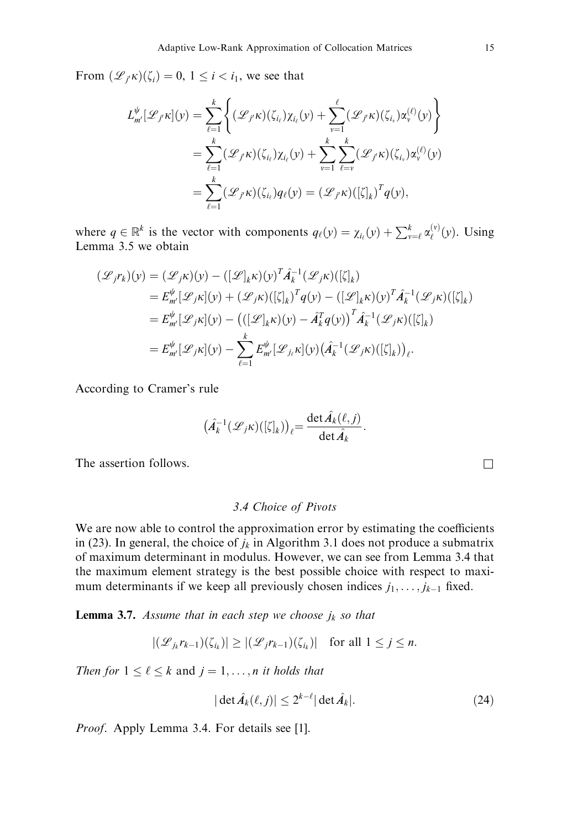From  $(\mathscr{L}_{i'k})(\zeta_i) = 0, 1 \leq i < i_1$ , we see that

$$
L_{m'}^{\psi}[\mathscr{L}_{j'}\kappa](y) = \sum_{\ell=1}^k \left\{ (\mathscr{L}_{j'}\kappa)(\zeta_{i_{\ell}})\chi_{i_{\ell}}(y) + \sum_{v=1}^\ell (\mathscr{L}_{j'}\kappa)(\zeta_{i_{v}})\alpha_v^{(\ell)}(y) \right\}
$$
  

$$
= \sum_{\ell=1}^k (\mathscr{L}_{j'}\kappa)(\zeta_{i_{\ell}})\chi_{i_{\ell}}(y) + \sum_{v=1}^k \sum_{\ell=v}^k (\mathscr{L}_{j'}\kappa)(\zeta_{i_{v}})\alpha_v^{(\ell)}(y)
$$
  

$$
= \sum_{\ell=1}^k (\mathscr{L}_{j'}\kappa)(\zeta_{i_{\ell}})q_{\ell}(y) = (\mathscr{L}_{j'}\kappa)([\zeta]_k)^T q(y),
$$

where  $q \in \mathbb{R}^k$  is the vector with components  $q_{\ell}(y) = \chi_{i_{\ell}}(y) + \sum_{v=\ell}^{k} \alpha_{\ell}^{(v)}(y)$ . Using Lemma 3.5 we obtain

$$
\begin{split} (\mathcal{L}_j r_k)(y) &= (\mathcal{L}_j \kappa)(y) - \left( [\mathcal{L}]_k \kappa)(y)^T \hat{A}_k^{-1} (\mathcal{L}_j \kappa) ([\zeta]_k) \right. \\ &= E_m^{\psi} [\mathcal{L}_j \kappa](y) + (\mathcal{L}_j \kappa) ([\zeta]_k)^T q(y) - \left( [\mathcal{L}]_k \kappa)(y)^T \hat{A}_k^{-1} (\mathcal{L}_j \kappa) ([\zeta]_k) \right. \\ &= E_{m'}^{\psi} [\mathcal{L}_j \kappa](y) - \left( ([\mathcal{L}]_k \kappa)(y) - \hat{A}_k^T q(y) \right)^T \hat{A}_k^{-1} (\mathcal{L}_j \kappa) ([\zeta]_k) \right. \\ &= E_{m'}^{\psi} [\mathcal{L}_j \kappa](y) - \sum_{\ell=1}^k E_{m'}^{\psi} [\mathcal{L}_{j\ell} \kappa](y) (\hat{A}_k^{-1} (\mathcal{L}_j \kappa) ([\zeta]_k))_{\ell}. \end{split}
$$

According to Cramer's rule

$$
\left(\hat{A}_k^{-1}(\mathscr{L}_j\kappa)(\lbrack \zeta \rbrack_k)\right)_\ell=\frac{\det \hat{A}_k(\ell,j)}{\det \hat{A}_k}.
$$

The assertion follows.  $\Box$ 

### 3.4 Choice of Pivots

We are now able to control the approximation error by estimating the coefficients in (23). In general, the choice of  $j_k$  in Algorithm 3.1 does not produce a submatrix of maximum determinant in modulus. However, we can see from Lemma 3.4 that the maximum element strategy is the best possible choice with respect to maximum determinants if we keep all previously chosen indices  $j_1, \ldots, j_{k-1}$  fixed.

**Lemma 3.7.** Assume that in each step we choose  $j_k$  so that

$$
|(\mathcal{L}_{j_k}r_{k-1})(\zeta_{i_k})| \ge |(\mathcal{L}_j r_{k-1})(\zeta_{i_k})| \text{ for all } 1 \le j \le n.
$$

Then for  $1 \leq \ell \leq k$  and  $j = 1, \ldots, n$  it holds that

$$
|\det \hat{A}_k(\ell, j)| \le 2^{k-\ell} |\det \hat{A}_k|. \tag{24}
$$

Proof. Apply Lemma 3.4. For details see [1].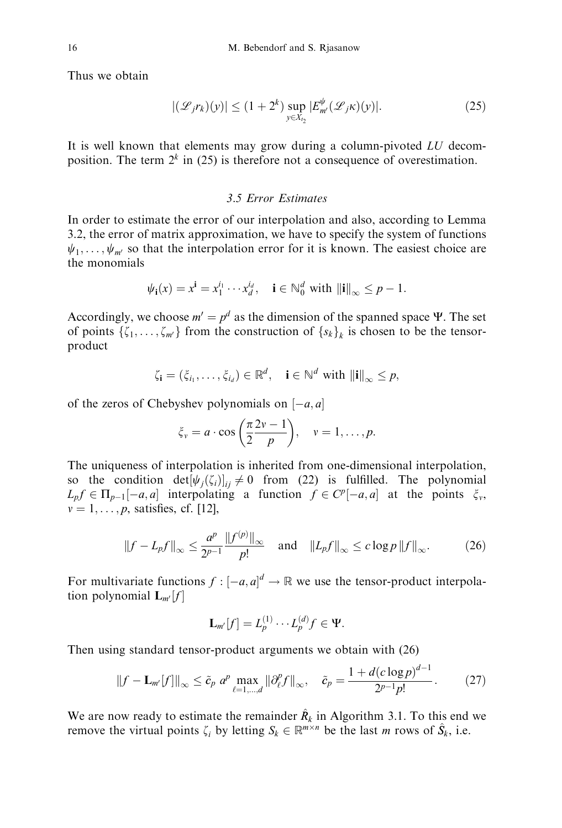Thus we obtain

$$
|(\mathcal{L}_j r_k)(y)| \le (1+2^k) \sup_{y \in X_{t_2}} |E_{m'}^{\psi}(\mathcal{L}_j \kappa)(y)|. \tag{25}
$$

It is well known that elements may grow during a column-pivoted LU decomposition. The term  $2^k$  in (25) is therefore not a consequence of overestimation.

#### 3.5 Error Estimates

In order to estimate the error of our interpolation and also, according to Lemma 3.2, the error of matrix approximation, we have to specify the system of functions  $\psi_1, \ldots, \psi_m$  so that the interpolation error for it is known. The easiest choice are the monomials

$$
\psi_{\mathbf{i}}(x) = x^{\mathbf{i}} = x_1^{i_1} \cdots x_d^{i_d}, \quad \mathbf{i} \in \mathbb{N}_0^d \text{ with } ||\mathbf{i}||_{\infty} \leq p - 1.
$$

Accordingly, we choose  $m' = p^d$  as the dimension of the spanned space  $\Psi$ . The set of points  $\{\zeta_1, \ldots, \zeta_m\}$  from the construction of  $\{s_k\}_k$  is chosen to be the tensorproduct

$$
\zeta_{\mathbf{i}} = (\xi_{i_1}, \dots, \xi_{i_d}) \in \mathbb{R}^d, \quad \mathbf{i} \in \mathbb{N}^d \text{ with } ||\mathbf{i}||_{\infty} \leq p,
$$

of the zeros of Chebyshev polynomials on  $[-a, a]$ 

$$
\xi_v = a \cdot \cos\left(\frac{\pi}{2}\frac{2v-1}{p}\right), \quad v = 1, \ldots, p.
$$

The uniqueness of interpolation is inherited from one-dimensional interpolation, so the condition  $det[\psi_i(\zeta_i)]_{ii} \neq 0$  from (22) is fulfilled. The polynomial  $L_p f \in \Pi_{p-1}[-a, a]$  interpolating a function  $f \in C^p[-a, a]$  at the points  $\xi_v$ ,  $v = 1, \ldots, p$ , satisfies, cf. [12],

$$
||f - L_p f||_{\infty} \le \frac{a^p}{2^{p-1}} \frac{||f^{(p)}||_{\infty}}{p!} \quad \text{and} \quad ||L_p f||_{\infty} \le c \log p ||f||_{\infty}.
$$
 (26)

For multivariate functions  $f: [-a, a]^d \to \mathbb{R}$  we use the tensor-product interpolation polynomial  $\mathbf{L}_{m'}[f]$ 

$$
\mathbf{L}_{m'}[f] = L_p^{(1)} \cdots L_p^{(d)} f \in \Psi.
$$

Then using standard tensor-product arguments we obtain with (26)

$$
||f - \mathbf{L}_{m'}[f]||_{\infty} \le \tilde{c}_p \ a^p \max_{\ell=1,\dots,d} ||\partial_{\ell}^p f||_{\infty}, \quad \tilde{c}_p = \frac{1 + d(c \log p)^{d-1}}{2^{p-1} p!}. \tag{27}
$$

We are now ready to estimate the remainder  $\hat{R}_k$  in Algorithm 3.1. To this end we remove the virtual points  $\zeta_i$  by letting  $S_k \in \mathbb{R}^{m \times n}$  be the last m rows of  $\hat{S}_k$ , i.e.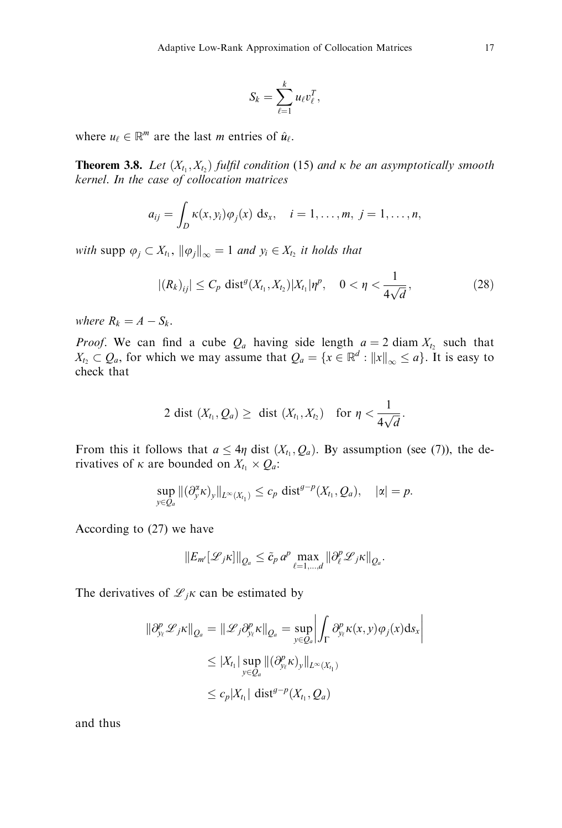$$
S_k=\sum_{\ell=1}^k u_\ell v_\ell^T,
$$

where  $u_\ell \in \mathbb{R}^m$  are the last *m* entries of  $\hat{u}_\ell$ .

**Theorem 3.8.** Let  $(X_{t_1}, X_{t_2})$  fulfil condition (15) and  $\kappa$  be an asymptotically smooth kernel. In the case of collocation matrices

$$
a_{ij}=\int_D \kappa(x,y_i)\varphi_j(x) \; \mathrm{d} s_x, \quad i=1,\ldots,m, \; j=1,\ldots,n,
$$

with supp  $\varphi_j \subset X_{t_1}, \|\varphi_j\|_{\infty} = 1$  and  $y_i \in X_{t_2}$  it holds that

$$
|(R_k)_{ij}| \le C_p \text{ dist}^g(X_{t_1}, X_{t_2}) |X_{t_1}|\eta^p, \quad 0 < \eta < \frac{1}{4\sqrt{d}}, \tag{28}
$$

where  $R_k = A - S_k$ .

*Proof.* We can find a cube  $Q_a$  having side length  $a = 2$  diam  $X_{t_2}$  such that  $X_{t_2} \subset Q_a$ , for which we may assume that  $Q_a = \{x \in \mathbb{R}^d : ||x||_{\infty} \le a\}$ . It is easy to check that

$$
2 \text{ dist } (X_{t_1}, Q_a) \geq \text{ dist } (X_{t_1}, X_{t_2}) \text{ for } \eta < \frac{1}{4\sqrt{d}}.
$$

From this it follows that  $a \leq 4\eta$  dist  $(X_t, Q_a)$ . By assumption (see (7)), the derivatives of  $\kappa$  are bounded on  $X_{t_1} \times Q_a$ :

$$
\sup_{y\in Q_a} \|(\partial_y^{\alpha} \kappa)_y\|_{L^{\infty}(X_{t_1})} \leq c_p \text{ dist}^{g-p}(X_{t_1}, Q_a), \quad |\alpha| = p.
$$

According to (27) we have

$$
\|E_{m'}[\mathcal{L}_{j}K]\|_{Q_a} \leq \tilde{c}_p a^p \max_{\ell=1,\dots,d} \|\partial_{\ell}^p \mathcal{L}_{j}K\|_{Q_a}.
$$

The derivatives of  $\mathcal{L}_{i}$  can be estimated by

$$
\|\partial_{y_{\ell}}^{p} \mathcal{L}_{j} \kappa\|_{Q_{a}} = \|\mathcal{L}_{j} \partial_{y_{\ell}}^{p} \kappa\|_{Q_{a}} = \sup_{y \in Q_{a}} \left| \int_{\Gamma} \partial_{y_{\ell}}^{p} \kappa(x, y) \varphi_{j}(x) \mathrm{d}s_{x} \right|
$$
  

$$
\leq |X_{t_{1}}| \sup_{y \in Q_{a}} \|(\partial_{y_{\ell}}^{p} \kappa)_{y}\|_{L^{\infty}(X_{t_{1}})}
$$
  

$$
\leq c_{p} |X_{t_{1}}| \operatorname{dist}^{q-p}(X_{t_{1}}, Q_{a})
$$

and thus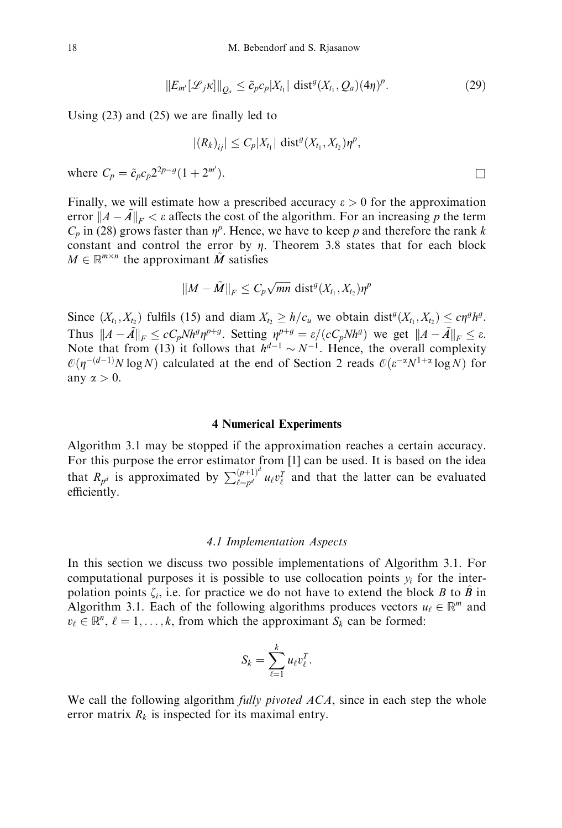$$
||E_{m'}[\mathcal{L}_{j} \kappa]||_{Q_a} \leq \tilde{c}_p c_p |X_{t_1}| \operatorname{dist}^g(X_{t_1}, Q_a) (4\eta)^p. \tag{29}
$$

Using (23) and (25) we are finally led to

$$
|(R_k)_{ij}|\leq C_p|X_{t_1}|\,\operatorname{dist}^g(X_{t_1},X_{t_2})\eta^p,
$$

where  $C_p = \tilde{c}_p c_p 2^{2p-g} (1 + 2^{m'}).$  $\Box$ 

Finally, we will estimate how a prescribed accuracy  $\varepsilon > 0$  for the approximation error  $||A - A||_F < \varepsilon$  affects the cost of the algorithm. For an increasing p the term  $C_p$  in (28) grows faster than  $\eta^p$ . Hence, we have to keep p and therefore the rank k constant and control the error by  $\eta$ . Theorem 3.8 states that for each block  $M \in \mathbb{R}^{m \times n}$  the approximant  $\tilde{M}$  satisfies

$$
||M-\tilde{M}||_F\leq C_p\sqrt{mn} \text{ dist}^g(X_{t_1},X_{t_2})\eta^p
$$

Since  $(X_{t_1}, X_{t_2})$  fulfils (15) and diam  $X_{t_2} \geq h/c_u$  we obtain dist<sup> $\theta(X_{t_1}, X_{t_2}) \leq c \eta^g h^g$ .</sup> Thus  $||A - \tilde{A}||_F \le cC_p N h^q \eta^{p+q}$ . Setting  $\eta^{p+q} = \varepsilon/(cC_p N h^q)$  we get  $||A - \tilde{A}||_F \le \varepsilon$ . Note that from (13) it follows that  $h^{d-1} \sim N^{-1}$ . Hence, the overall complexity  $\mathcal{O}(\eta^{-(d-1)}N \log N)$  calculated at the end of Section 2 reads  $\mathcal{O}(\varepsilon^{-\alpha}N^{1+\alpha} \log N)$  for any  $\alpha > 0$ .

#### 4 Numerical Experiments

Algorithm 3.1 may be stopped if the approximation reaches a certain accuracy. For this purpose the error estimator from [1] can be used. It is based on the idea that  $R_{p^d}$  is approximated by  $\sum_{\ell=p^d}^{(p+1)^d} u_{\ell} v_{\ell}^T$  and that the latter can be evaluated efficiently.

#### 4.1 Implementation Aspects

In this section we discuss two possible implementations of Algorithm 3.1. For computational purposes it is possible to use collocation points  $y_i$  for the interpolation points  $\zeta_i$ , i.e. for practice we do not have to extend the block B to  $\hat{B}$  in Algorithm 3.1. Each of the following algorithms produces vectors  $u_{\ell} \in \mathbb{R}^m$  and  $v_{\ell} \in \mathbb{R}^n$ ,  $\ell = 1, \ldots, k$ , from which the approximant  $S_k$  can be formed:

$$
S_k=\sum_{\ell=1}^k u_\ell v_\ell^T.
$$

We call the following algorithm *fully pivoted ACA*, since in each step the whole error matrix  $R_k$  is inspected for its maximal entry.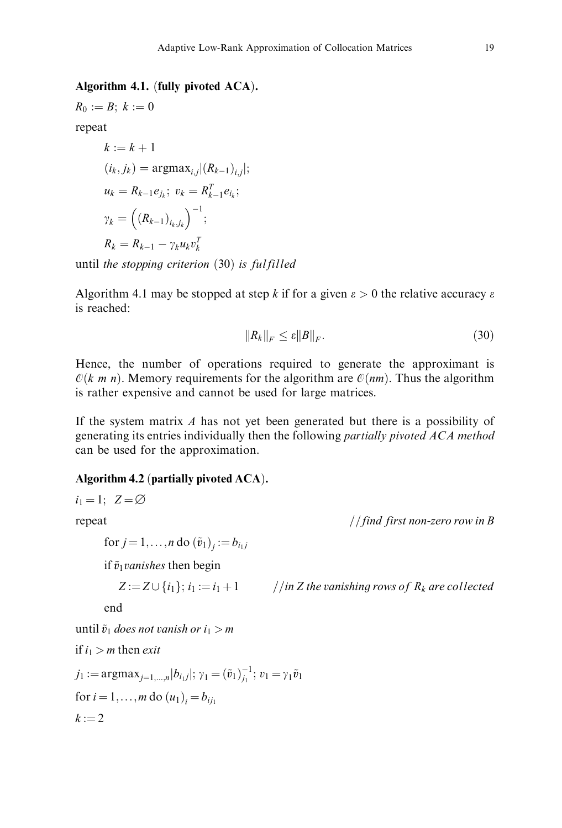## Algorithm 4.1. (fully pivoted  $ACA$ ).

$$
R_0:=B; k:=0
$$

repeat

$$
k := k + 1
$$
  
\n
$$
(i_k, j_k) = \operatorname{argmax}_{i,j} |(R_{k-1})_{i,j}|;
$$
  
\n
$$
u_k = R_{k-1}e_{j_k}; v_k = R_{k-1}^T e_{i_k};
$$
  
\n
$$
\gamma_k = ((R_{k-1})_{i_k,j_k})^{-1};
$$
  
\n
$$
R_k = R_{k-1} - \gamma_k u_k v_k^T
$$

until the stopping criterion  $(30)$  is fulfilled

Algorithm 4.1 may be stopped at step k if for a given  $\varepsilon > 0$  the relative accuracy  $\varepsilon$ is reached:

$$
||R_k||_F \le \varepsilon ||B||_F. \tag{30}
$$

Hence, the number of operations required to generate the approximant is  $\mathcal{O}(k, m, n)$ . Memory requirements for the algorithm are  $\mathcal{O}(nm)$ . Thus the algorithm is rather expensive and cannot be used for large matrices.

If the system matrix  $A$  has not yet been generated but there is a possibility of generating its entries individually then the following partially pivoted ACA method can be used for the approximation.

## Algorithm 4.2 (partially pivoted  $ACA$ ).

$$
i_1 = 1; \quad Z = \emptyset
$$
  
repeat  
for  $j = 1, ..., n$  do  $(\tilde{v}_1)_j := b_{i_1 j}$   
if  $\tilde{v}_1$  vanishes then begin  

$$
Z := Z \cup \{i_1\}; i_1 := i_1 + 1 \quad // in Z the vanishing rows of R_k are collectedenduntil  $\tilde{v}_1$  does not vanish or  $i_1 > m$   
if  $i_1 > m$  then exit  
 $j_1 := \text{argmax}_{j=1,...,n} |b_{i_1 j}|; \gamma_1 = (\tilde{v}_1)_{j_1}^{-1}; v_1 = \gamma_1 \tilde{v}_1$   
for  $i = 1, ..., m$  do  $(u_1)_i = b_{ij_1}$
$$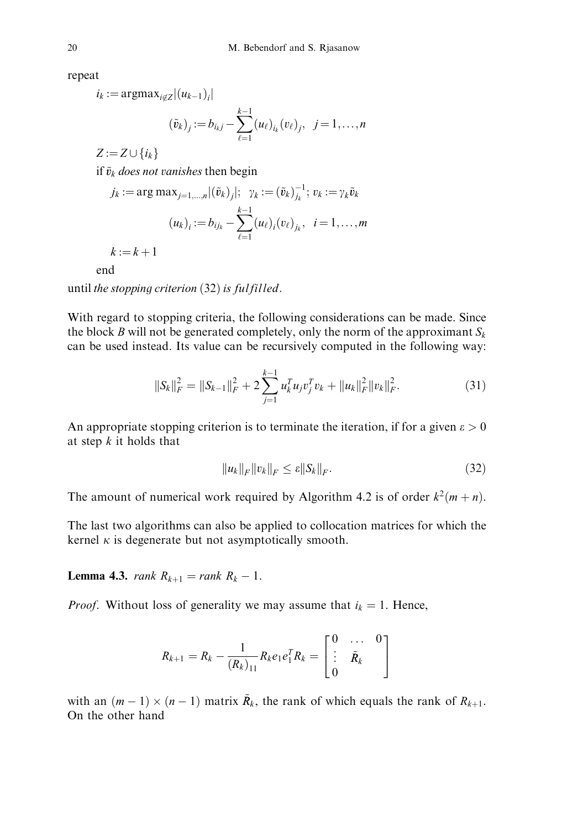repeat

$$
i_k := \operatorname{argmax}_{i \notin \mathbb{Z}} |(u_{k-1})_i|
$$

$$
(\tilde{v}_k)_j := b_{i_k j} - \sum_{\ell=1}^{k-1} (u_\ell)_{i_k} (v_\ell)_j, \ \ j = 1, \dots, n
$$

 $Z := Z \cup \{i_k\}$ 

if  $\tilde{v}_k$  does not vanishes then begin

$$
j_k := \arg \max_{j=1,\dots,n} |(\tilde{v}_k)_j|; \ \gamma_k := (\tilde{v}_k)_{j_k}^{-1}; \ v_k := \gamma_k \tilde{v}_k
$$

$$
(u_k)_i := b_{ijk} - \sum_{\ell=1}^{k-1} (u_\ell)_i (v_\ell)_{j_k}, \ i = 1,\dots,m
$$

 $k := k + 1$ 

end

until the stopping criterion  $(32)$  is fulfilled.

With regard to stopping criteria, the following considerations can be made. Since the block B will not be generated completely, only the norm of the approximant  $S_k$ can be used instead. Its value can be recursively computed in the following way:

$$
||S_k||_F^2 = ||S_{k-1}||_F^2 + 2\sum_{j=1}^{k-1} u_k^T u_j v_j^T v_k + ||u_k||_F^2 ||v_k||_F^2.
$$
 (31)

An appropriate stopping criterion is to terminate the iteration, if for a given  $\varepsilon > 0$ at step  $k$  it holds that

$$
||u_k||_F ||v_k||_F \le \varepsilon ||S_k||_F. \tag{32}
$$

The amount of numerical work required by Algorithm 4.2 is of order  $k^2(m+n)$ .

The last two algorithms can also be applied to collocation matrices for which the kernel  $\kappa$  is degenerate but not asymptotically smooth.

**Lemma 4.3.** *rank*  $R_{k+1} = rank R_k - 1$ .

*Proof.* Without loss of generality we may assume that  $i_k = 1$ . Hence,

$$
R_{k+1} = R_k - \frac{1}{(R_k)_{11}} R_k e_1 e_1^T R_k = \begin{bmatrix} 0 & \dots & 0 \\ \vdots & \tilde{R}_k & 0 \\ 0 & & \end{bmatrix}
$$

with an  $(m - 1) \times (n - 1)$  matrix  $\tilde{R}_k$ , the rank of which equals the rank of  $R_{k+1}$ . On the other hand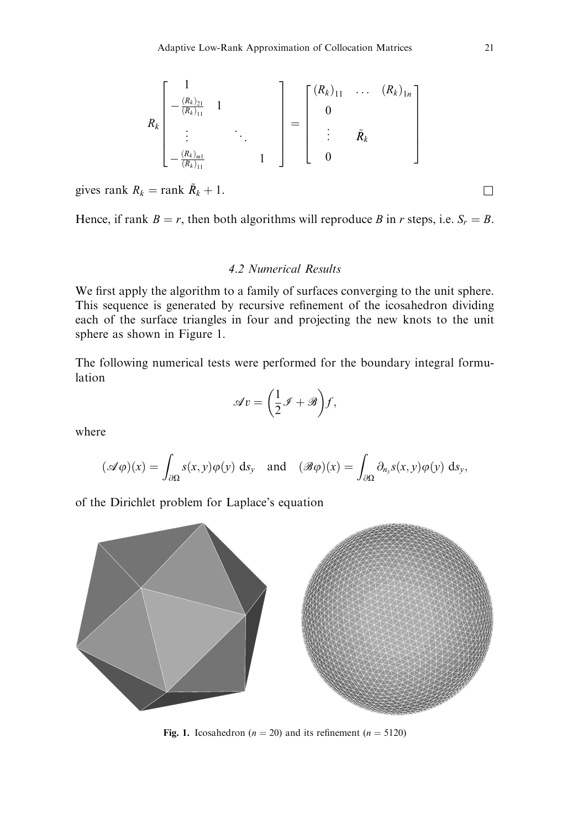$$
R_{k}\begin{bmatrix}1\\-\frac{(R_{k})_{21}}{(R_{k})_{11}} & 1\\ \vdots & \ddots & \vdots\\-\frac{(R_{k})_{m1}}{(R_{k})_{11}} & 1\end{bmatrix} = \begin{bmatrix} (R_{k})_{11} & \cdots & (R_{k})_{1n}\\0\\ \vdots & \tilde{R}_{k}\\0\end{bmatrix}
$$

gives rank  $R_k = \text{rank } \tilde{R}_k + 1$ .

Hence, if rank  $B = r$ , then both algorithms will reproduce B in r steps, i.e.  $S_r = B$ .

### 4.2 Numerical Results

We first apply the algorithm to a family of surfaces converging to the unit sphere. This sequence is generated by recursive refinement of the icosahedron dividing each of the surface triangles in four and projecting the new knots to the unit sphere as shown in Figure 1.

The following numerical tests were performed for the boundary integral formulation

$$
\mathscr{A}v = \left(\frac{1}{2}\mathscr{I} + \mathscr{B}\right)f,
$$

where

$$
(\mathscr{A}\varphi)(x) = \int_{\partial\Omega} s(x,y)\varphi(y) \, ds_y \quad \text{and} \quad (\mathscr{B}\varphi)(x) = \int_{\partial\Omega} \partial_{n_y} s(x,y)\varphi(y) \, ds_y,
$$

of the Dirichlet problem for Laplace's equation



Fig. 1. Icosahedron ( $n = 20$ ) and its refinement ( $n = 5120$ )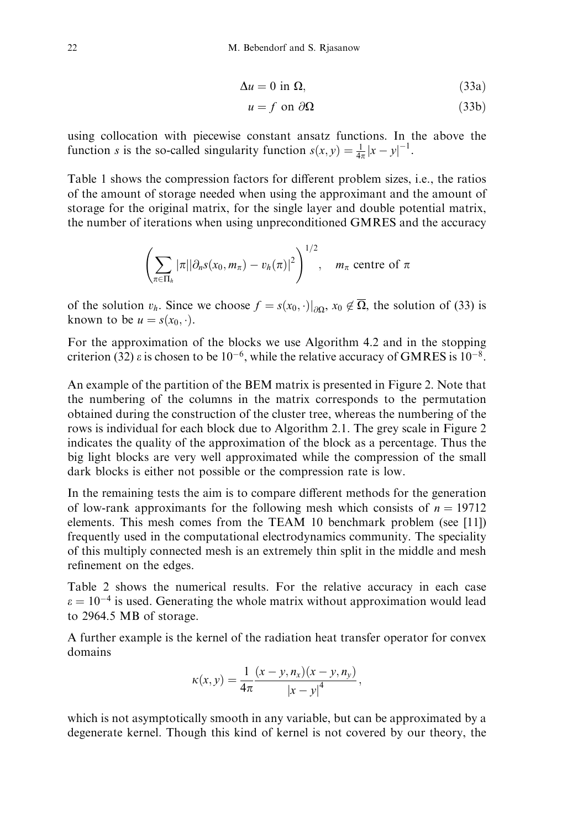$$
\Delta u = 0 \text{ in } \Omega,\tag{33a}
$$

$$
u = f \text{ on } \partial\Omega \tag{33b}
$$

using collocation with piecewise constant ansatz functions. In the above the function *s* is the so-called singularity function  $s(x, y) = \frac{1}{4\pi}|x - y|^{-1}$ .

Table 1 shows the compression factors for different problem sizes, i.e., the ratios of the amount of storage needed when using the approximant and the amount of storage for the original matrix, for the single layer and double potential matrix, the number of iterations when using unpreconditioned GMRES and the accuracy

$$
\left(\sum_{\pi\in\Pi_h}|\pi||\partial_n s(x_0,m_\pi)-v_h(\pi)|^2\right)^{1/2}, \quad m_\pi \text{ centre of }\pi
$$

of the solution  $v_h$ . Since we choose  $f = s(x_0, \cdot)|_{\partial\Omega}$ ,  $x_0 \notin \overline{\Omega}$ , the solution of (33) is known to be  $u = s(x_0, \cdot)$ .

For the approximation of the blocks we use Algorithm 4.2 and in the stopping criterion (32)  $\varepsilon$  is chosen to be 10<sup>-6</sup>, while the relative accuracy of GMRES is 10<sup>-8</sup>.

An example of the partition of the BEM matrix is presented in Figure 2. Note that the numbering of the columns in the matrix corresponds to the permutation obtained during the construction of the cluster tree, whereas the numbering of the rows is individual for each block due to Algorithm 2.1. The grey scale in Figure 2 indicates the quality of the approximation of the block as a percentage. Thus the big light blocks are very well approximated while the compression of the small dark blocks is either not possible or the compression rate is low.

In the remaining tests the aim is to compare different methods for the generation of low-rank approximants for the following mesh which consists of  $n = 19712$ elements. This mesh comes from the TEAM 10 benchmark problem (see [11]) frequently used in the computational electrodynamics community. The speciality of this multiply connected mesh is an extremely thin split in the middle and mesh refinement on the edges.

Table 2 shows the numerical results. For the relative accuracy in each case  $\varepsilon = 10^{-4}$  is used. Generating the whole matrix without approximation would lead to 2964.5 MB of storage.

A further example is the kernel of the radiation heat transfer operator for convex domains

$$
\kappa(x, y) = \frac{1}{4\pi} \frac{(x - y, n_x)(x - y, n_y)}{|x - y|^4},
$$

which is not asymptotically smooth in any variable, but can be approximated by a degenerate kernel. Though this kind of kernel is not covered by our theory, the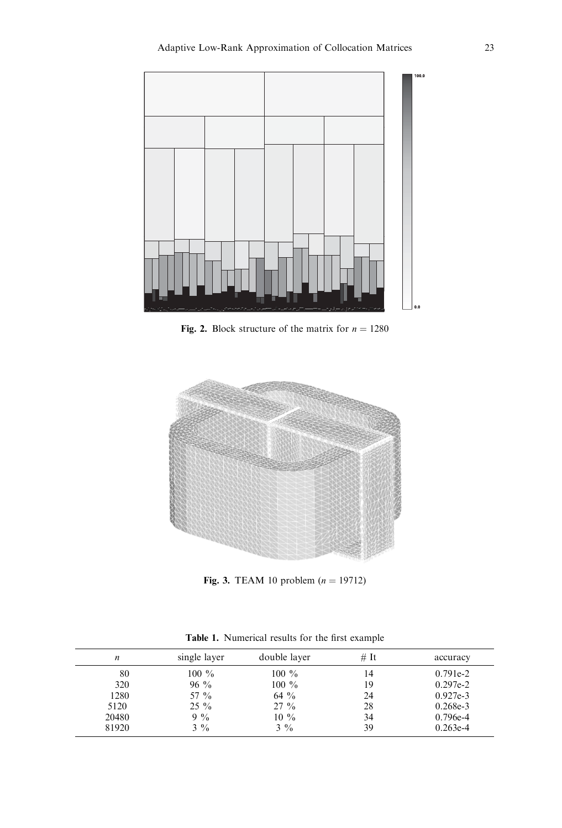

Fig. 2. Block structure of the matrix for  $n = 1280$ 



**Fig. 3.** TEAM 10 problem  $(n = 19712)$ 

| n     | single layer   | double layer   | # It | accuracy   |
|-------|----------------|----------------|------|------------|
| 80    | $100\%$        | $100\%$        | 14   | $0.791e-2$ |
| 320   | $96\%$         | $100\%$        | 19   | $0.297e-2$ |
| 1280  | 57 %           | $64\%$         | 24   | $0.927e-3$ |
| 5120  | $25\%$         | $27\%$         | 28   | $0.268e-3$ |
| 20480 | $9\%$          | $10\%$         | 34   | $0.796e-4$ |
| 81920 | $3\frac{9}{6}$ | $3\frac{9}{6}$ | 39   | $0.263e-4$ |

Table 1. Numerical results for the first example